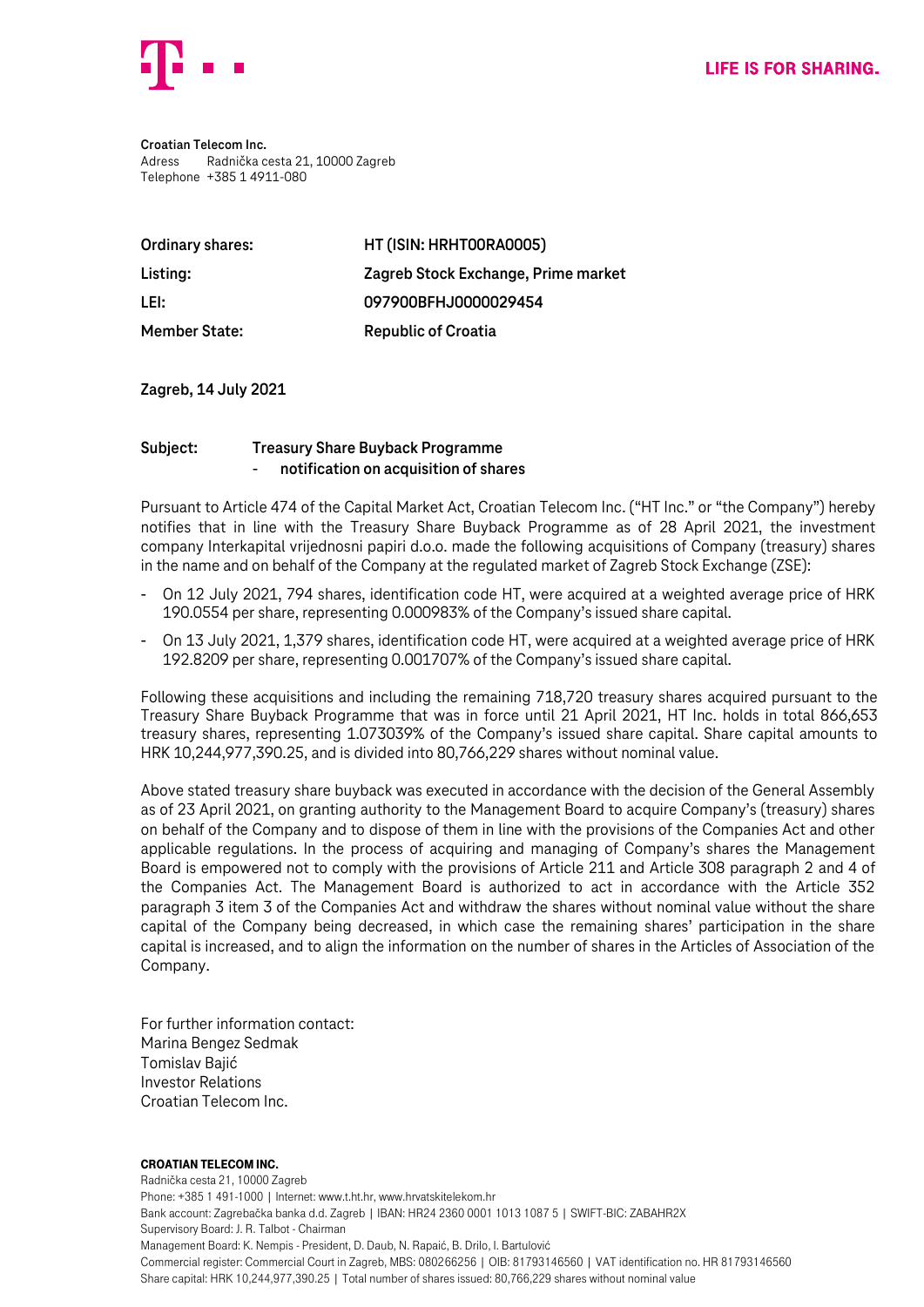

**Croatian Telecom Inc.** Adress Radnička cesta 21, 10000 Zagreb Telephone +385 1 4911-080

| Ordinary shares:     | HT (ISIN: HRHT00RA0005)             |
|----------------------|-------------------------------------|
| Listing:             | Zagreb Stock Exchange, Prime market |
| LEI:                 | 097900BFHJ0000029454                |
| <b>Member State:</b> | <b>Republic of Croatia</b>          |

**Zagreb, 14 July 2021**

## **Subject: Treasury Share Buyback Programme** - **notification on acquisition of shares**

Pursuant to Article 474 of the Capital Market Act, Croatian Telecom Inc. ("HT Inc." or "the Company") hereby notifies that in line with the Treasury Share Buyback Programme as of 28 April 2021, the investment company Interkapital vrijednosni papiri d.o.o. made the following acquisitions of Company (treasury) shares in the name and on behalf of the Company at the regulated market of Zagreb Stock Exchange (ZSE):

- On 12 July 2021, 794 shares, identification code HT, were acquired at a weighted average price of HRK 190.0554 per share, representing 0.000983% of the Company's issued share capital.
- On 13 July 2021, 1,379 shares, identification code HT, were acquired at a weighted average price of HRK 192.8209 per share, representing 0.001707% of the Company's issued share capital.

Following these acquisitions and including the remaining 718,720 treasury shares acquired pursuant to the Treasury Share Buyback Programme that was in force until 21 April 2021, HT Inc. holds in total 866,653 treasury shares, representing 1.073039% of the Company's issued share capital. Share capital amounts to HRK 10,244,977,390.25, and is divided into 80,766,229 shares without nominal value.

Above stated treasury share buyback was executed in accordance with the decision of the General Assembly as of 23 April 2021, on granting authority to the Management Board to acquire Company's (treasury) shares on behalf of the Company and to dispose of them in line with the provisions of the Companies Act and other applicable regulations. In the process of acquiring and managing of Company's shares the Management Board is empowered not to comply with the provisions of Article 211 and Article 308 paragraph 2 and 4 of the Companies Act. The Management Board is authorized to act in accordance with the Article 352 paragraph 3 item 3 of the Companies Act and withdraw the shares without nominal value without the share capital of the Company being decreased, in which case the remaining shares' participation in the share capital is increased, and to align the information on the number of shares in the Articles of Association of the Company.

For further information contact: Marina Bengez Sedmak Tomislav Bajić Investor Relations Croatian Telecom Inc.

## Croatian Telecom Inc.

Radnička cesta 21, 10000 Zagreb Phone: +385 1 491-1000 | Internet: www.t.ht.hr, www.hrvatskitelekom.hr Bank account: Zagrebačka banka d.d. Zagreb | IBAN: HR24 2360 0001 1013 1087 5 | SWIFT-BIC: ZABAHR2X Supervisory Board: J. R. Talbot - Chairman Management Board: K. Nempis - President, D. Daub, N. Rapaić, B. Drilo, I. Bartulović Commercial register: Commercial Court in Zagreb, MBS: 080266256 | OIB: 81793146560 | VAT identification no. HR 81793146560 Share capital: HRK 10,244,977,390.25 | Total number of shares issued: 80,766,229 shares without nominal value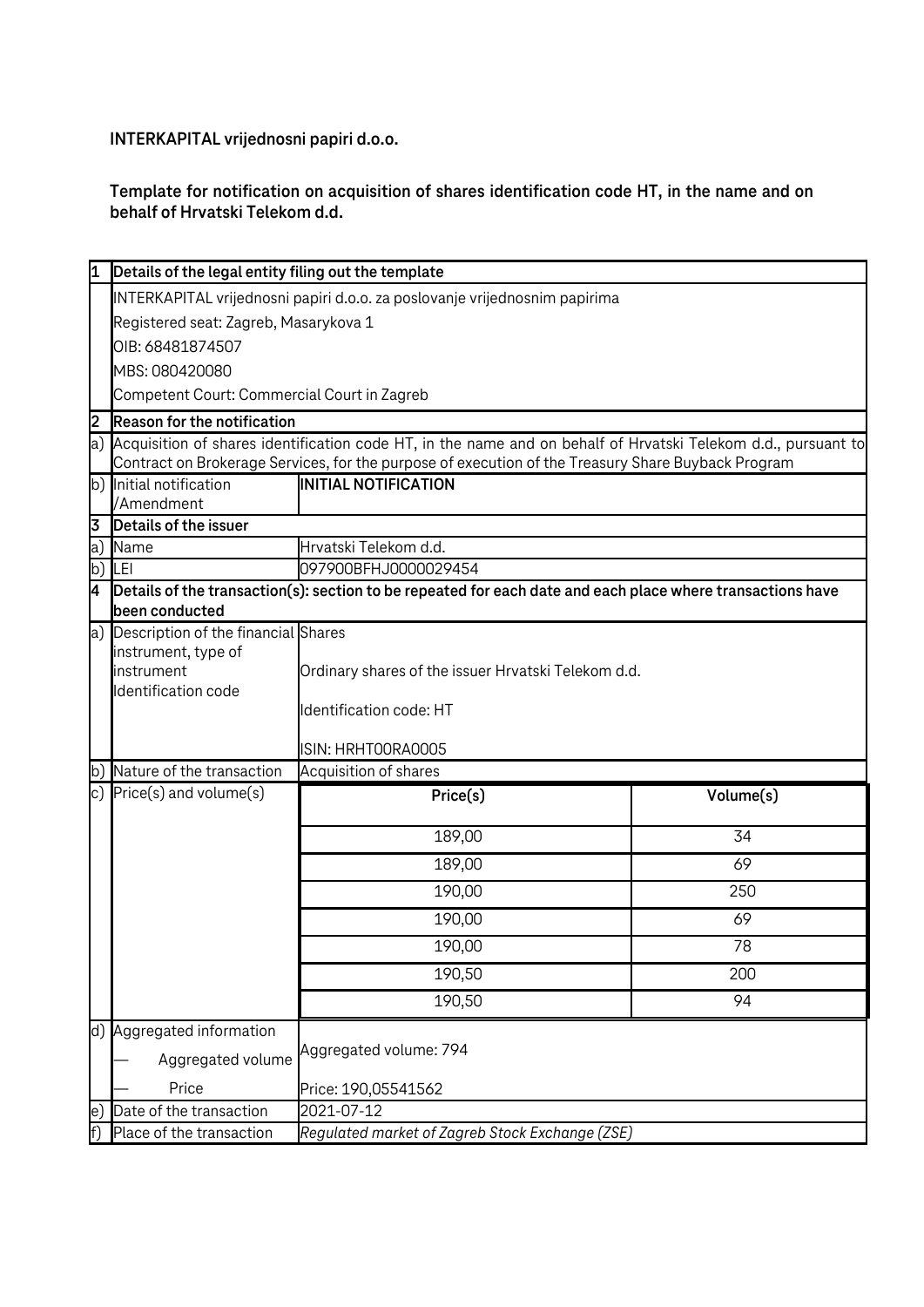**INTERKAPITAL vrijednosni papiri d.o.o.**

## **Template for notification on acquisition of shares identification code HT, in the name and on behalf of Hrvatski Telekom d.d.**

|    | Details of the legal entity filing out the template                                                                                                                                                                    |                                                                                                      |           |  |  |
|----|------------------------------------------------------------------------------------------------------------------------------------------------------------------------------------------------------------------------|------------------------------------------------------------------------------------------------------|-----------|--|--|
|    | INTERKAPITAL vrijednosni papiri d.o.o. za poslovanje vrijednosnim papirima                                                                                                                                             |                                                                                                      |           |  |  |
|    | Registered seat: Zagreb, Masarykova 1                                                                                                                                                                                  |                                                                                                      |           |  |  |
|    | OIB: 68481874507                                                                                                                                                                                                       |                                                                                                      |           |  |  |
|    | MBS: 080420080                                                                                                                                                                                                         |                                                                                                      |           |  |  |
|    | Competent Court: Commercial Court in Zagreb                                                                                                                                                                            |                                                                                                      |           |  |  |
| 2  | <b>Reason for the notification</b>                                                                                                                                                                                     |                                                                                                      |           |  |  |
|    | a) Acquisition of shares identification code HT, in the name and on behalf of Hrvatski Telekom d.d., pursuant to<br>Contract on Brokerage Services, for the purpose of execution of the Treasury Share Buyback Program |                                                                                                      |           |  |  |
| b) | Initial notification                                                                                                                                                                                                   | <b>INITIAL NOTIFICATION</b>                                                                          |           |  |  |
|    | /Amendment                                                                                                                                                                                                             |                                                                                                      |           |  |  |
| 3  | Details of the issuer                                                                                                                                                                                                  |                                                                                                      |           |  |  |
| a) | Name                                                                                                                                                                                                                   | Hrvatski Telekom d.d.                                                                                |           |  |  |
| b) | LEI                                                                                                                                                                                                                    | 097900BFHJ0000029454                                                                                 |           |  |  |
| 4  | Details of the transaction(s): section to be repeated for each date and each place where transactions have<br>been conducted                                                                                           |                                                                                                      |           |  |  |
| a) | Description of the financial Shares<br>instrument, type of<br>instrument<br>Identification code                                                                                                                        | Ordinary shares of the issuer Hrvatski Telekom d.d.<br>Identification code: HT<br>ISIN: HRHTOORAOOO5 |           |  |  |
| b) | Nature of the transaction                                                                                                                                                                                              | Acquisition of shares                                                                                |           |  |  |
|    | c) $Price(s)$ and volume $(s)$                                                                                                                                                                                         | $P$ rice $(s)$                                                                                       | Volume(s) |  |  |
|    |                                                                                                                                                                                                                        | 189,00                                                                                               | 34        |  |  |
|    |                                                                                                                                                                                                                        | 189,00                                                                                               | 69        |  |  |
|    |                                                                                                                                                                                                                        | 190,00                                                                                               | 250       |  |  |
|    |                                                                                                                                                                                                                        | 190,00                                                                                               | 69        |  |  |
|    |                                                                                                                                                                                                                        | 190,00                                                                                               | 78        |  |  |
|    |                                                                                                                                                                                                                        | 190,50                                                                                               | 200       |  |  |
|    |                                                                                                                                                                                                                        | 190,50                                                                                               | 94        |  |  |
|    | d) Aggregated information<br>Aggregated volume<br>Price                                                                                                                                                                | Aggregated volume: 794<br>Price: 190,05541562                                                        |           |  |  |
| e, | Date of the transaction                                                                                                                                                                                                | 2021-07-12                                                                                           |           |  |  |
|    | Place of the transaction                                                                                                                                                                                               | Regulated market of Zagreb Stock Exchange (ZSE)                                                      |           |  |  |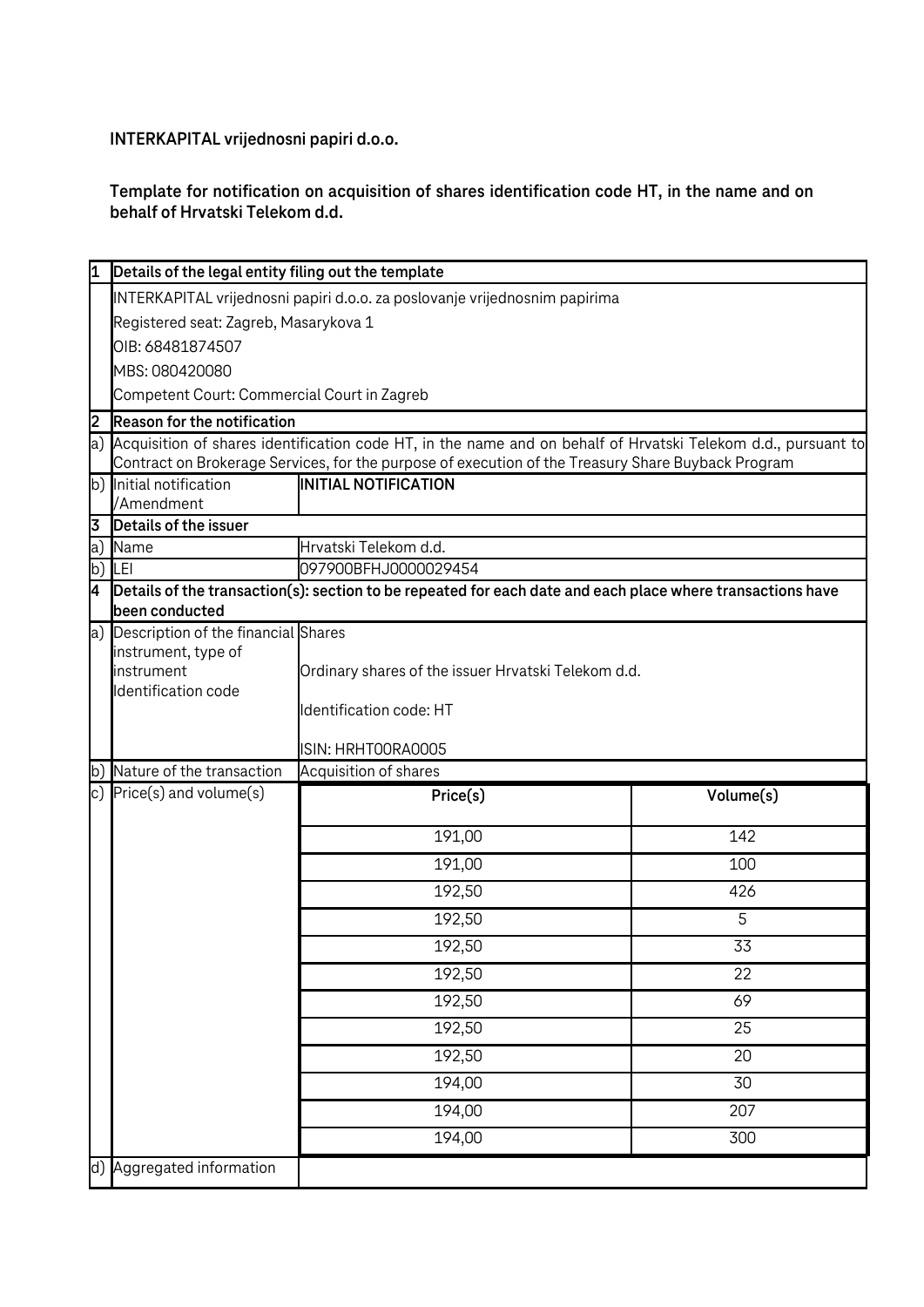**INTERKAPITAL vrijednosni papiri d.o.o.**

## **Template for notification on acquisition of shares identification code HT, in the name and on behalf of Hrvatski Telekom d.d.**

|    | Details of the legal entity filing out the template                        |                                                                                                                  |           |  |  |
|----|----------------------------------------------------------------------------|------------------------------------------------------------------------------------------------------------------|-----------|--|--|
|    | INTERKAPITAL vrijednosni papiri d.o.o. za poslovanje vrijednosnim papirima |                                                                                                                  |           |  |  |
|    | Registered seat: Zagreb, Masarykova 1                                      |                                                                                                                  |           |  |  |
|    | OIB: 68481874507                                                           |                                                                                                                  |           |  |  |
|    | MBS: 080420080                                                             |                                                                                                                  |           |  |  |
|    | Competent Court: Commercial Court in Zagreb                                |                                                                                                                  |           |  |  |
| 2  | <b>Reason for the notification</b>                                         |                                                                                                                  |           |  |  |
|    |                                                                            | a) Acquisition of shares identification code HT, in the name and on behalf of Hrvatski Telekom d.d., pursuant to |           |  |  |
|    |                                                                            | Contract on Brokerage Services, for the purpose of execution of the Treasury Share Buyback Program               |           |  |  |
|    | b) Initial notification<br>/Amendment                                      | <b>INITIAL NOTIFICATION</b>                                                                                      |           |  |  |
| 3  | Details of the issuer                                                      |                                                                                                                  |           |  |  |
| a) | Name                                                                       | Hrvatski Telekom d.d.                                                                                            |           |  |  |
|    | b) LEI                                                                     | 097900BFHJ0000029454                                                                                             |           |  |  |
| 4  |                                                                            | Details of the transaction(s): section to be repeated for each date and each place where transactions have       |           |  |  |
|    | been conducted                                                             |                                                                                                                  |           |  |  |
|    |                                                                            | a) Description of the financial Shares                                                                           |           |  |  |
|    | instrument, type of                                                        |                                                                                                                  |           |  |  |
|    | instrument                                                                 | Ordinary shares of the issuer Hrvatski Telekom d.d.                                                              |           |  |  |
|    | Identification code                                                        | Identification code: HT                                                                                          |           |  |  |
|    |                                                                            |                                                                                                                  |           |  |  |
|    |                                                                            | ISIN: HRHTOORAOOO5                                                                                               |           |  |  |
|    | b) Nature of the transaction                                               | Acquisition of shares                                                                                            |           |  |  |
|    | c) $Price(s)$ and volume $(s)$                                             | Price(s)                                                                                                         | Volume(s) |  |  |
|    |                                                                            | 191,00                                                                                                           | 142       |  |  |
|    |                                                                            | 191,00                                                                                                           | 100       |  |  |
|    |                                                                            | 192,50                                                                                                           | 426       |  |  |
|    |                                                                            | 192,50                                                                                                           | 5         |  |  |
|    |                                                                            | 192,50                                                                                                           | 33        |  |  |
|    |                                                                            | 192,50                                                                                                           | 22        |  |  |
|    |                                                                            | 192,50                                                                                                           | 69        |  |  |
|    |                                                                            | 192,50                                                                                                           | 25        |  |  |
|    |                                                                            | 192,50                                                                                                           | 20        |  |  |
|    |                                                                            | 194,00                                                                                                           | 30        |  |  |
|    |                                                                            | 194,00                                                                                                           | 207       |  |  |
|    |                                                                            | 194,00                                                                                                           | 300       |  |  |
|    | d) Aggregated information                                                  |                                                                                                                  |           |  |  |